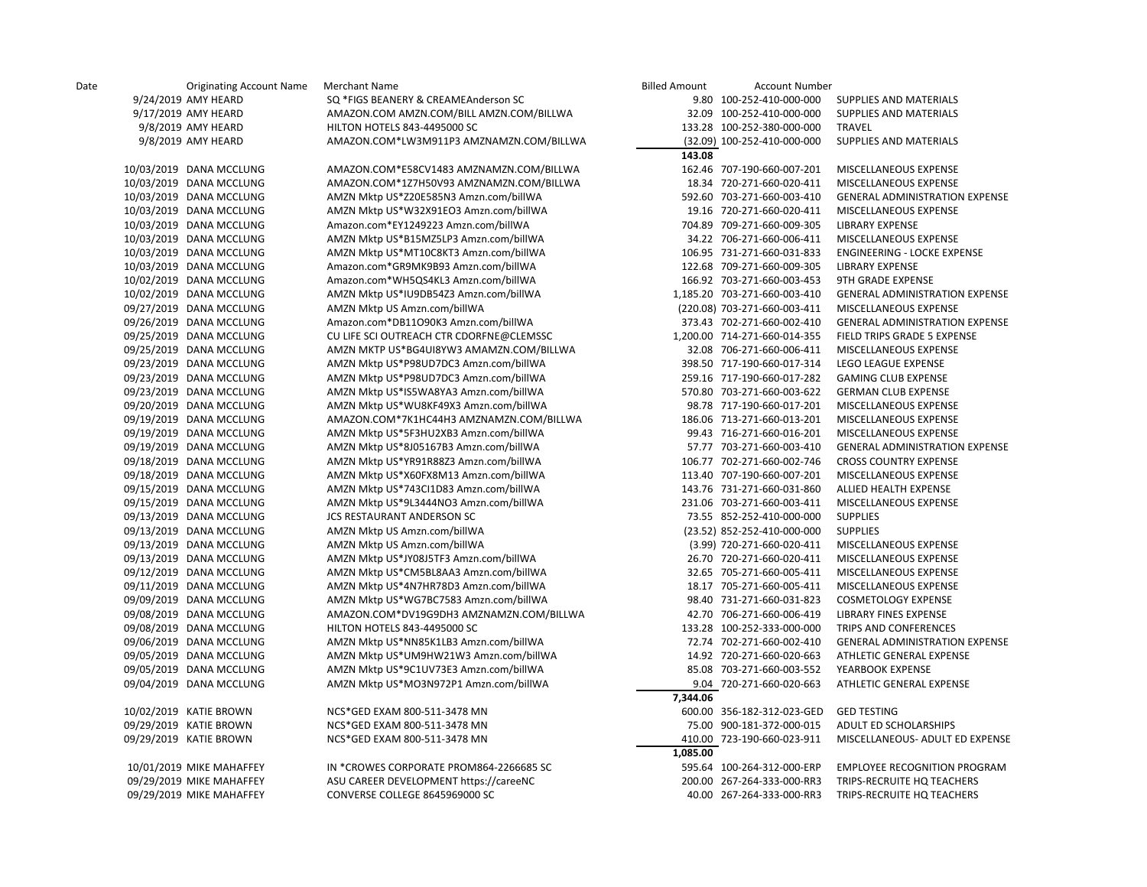| Date | <b>Originating Account Name</b> | Merchant Name                            | <b>Billed Amount</b><br><b>Account Number</b> |                                       |
|------|---------------------------------|------------------------------------------|-----------------------------------------------|---------------------------------------|
|      | 9/24/2019 AMY HEARD             | SQ *FIGS BEANERY & CREAMEAnderson SC     | 9.80 100-252-410-000-000                      | SUPPLIES AND MATERIALS                |
|      | 9/17/2019 AMY HEARD             | AMAZON.COM AMZN.COM/BILL AMZN.COM/BILLWA | 32.09 100-252-410-000-000                     | SUPPLIES AND MATERIALS                |
|      | 9/8/2019 AMY HEARD              | HILTON HOTELS 843-4495000 SC             | 133.28 100-252-380-000-000                    | TRAVEL                                |
|      | 9/8/2019 AMY HEARD              | AMAZON.COM*LW3M911P3 AMZNAMZN.COM/BILLWA | (32.09) 100-252-410-000-000                   | SUPPLIES AND MATERIALS                |
|      |                                 |                                          | 143.08                                        |                                       |
|      | 10/03/2019 DANA MCCLUNG         | AMAZON.COM*E58CV1483 AMZNAMZN.COM/BILLWA | 162.46 707-190-660-007-201                    | MISCELLANEOUS EXPENSE                 |
|      | 10/03/2019 DANA MCCLUNG         | AMAZON.COM*1Z7H50V93 AMZNAMZN.COM/BILLWA | 18.34 720-271-660-020-411                     | MISCELLANEOUS EXPENSE                 |
|      | 10/03/2019 DANA MCCLUNG         | AMZN Mktp US*Z20E585N3 Amzn.com/billWA   | 592.60 703-271-660-003-410                    | <b>GENERAL ADMINISTRATION EXPENSE</b> |
|      | 10/03/2019 DANA MCCLUNG         | AMZN Mktp US*W32X91EO3 Amzn.com/billWA   | 19.16 720-271-660-020-411                     | MISCELLANEOUS EXPENSE                 |
|      | 10/03/2019 DANA MCCLUNG         | Amazon.com*EY1249223 Amzn.com/billWA     | 704.89 709-271-660-009-305                    | <b>LIBRARY EXPENSE</b>                |
|      | 10/03/2019 DANA MCCLUNG         | AMZN Mktp US*B15MZ5LP3 Amzn.com/billWA   | 34.22 706-271-660-006-411                     | MISCELLANEOUS EXPENSE                 |
|      | 10/03/2019 DANA MCCLUNG         | AMZN Mktp US*MT10C8KT3 Amzn.com/billWA   | 106.95 731-271-660-031-833                    | ENGINEERING - LOCKE EXPENSE           |
|      | 10/03/2019 DANA MCCLUNG         | Amazon.com*GR9MK9B93 Amzn.com/billWA     | 122.68 709-271-660-009-305                    | <b>LIBRARY EXPENSE</b>                |
|      | 10/02/2019 DANA MCCLUNG         | Amazon.com*WH5QS4KL3 Amzn.com/billWA     | 166.92 703-271-660-003-453                    | 9TH GRADE EXPENSE                     |
|      | 10/02/2019 DANA MCCLUNG         | AMZN Mktp US*IU9DB54Z3 Amzn.com/billWA   | 1,185.20 703-271-660-003-410                  | <b>GENERAL ADMINISTRATION EXPENSE</b> |
|      | 09/27/2019 DANA MCCLUNG         | AMZN Mktp US Amzn.com/billWA             | (220.08) 703-271-660-003-411                  | MISCELLANEOUS EXPENSE                 |
|      | 09/26/2019 DANA MCCLUNG         | Amazon.com*DB11O90K3 Amzn.com/billWA     | 373.43 702-271-660-002-410                    | <b>GENERAL ADMINISTRATION EXPENSE</b> |
|      | 09/25/2019 DANA MCCLUNG         | CU LIFE SCI OUTREACH CTR CDORFNE@CLEMSSC | 1,200.00 714-271-660-014-355                  | FIELD TRIPS GRADE 5 EXPENSE           |
|      | 09/25/2019 DANA MCCLUNG         | AMZN MKTP US*BG4UI8YW3 AMAMZN.COM/BILLWA | 32.08 706-271-660-006-411                     | MISCELLANEOUS EXPENSE                 |
|      | 09/23/2019 DANA MCCLUNG         | AMZN Mktp US*P98UD7DC3 Amzn.com/billWA   | 398.50 717-190-660-017-314                    | LEGO LEAGUE EXPENSE                   |
|      | 09/23/2019 DANA MCCLUNG         | AMZN Mktp US*P98UD7DC3 Amzn.com/billWA   | 259.16 717-190-660-017-282                    | <b>GAMING CLUB EXPENSE</b>            |
|      | 09/23/2019 DANA MCCLUNG         | AMZN Mktp US*IS5WA8YA3 Amzn.com/billWA   | 570.80 703-271-660-003-622                    | <b>GERMAN CLUB EXPENSE</b>            |
|      | 09/20/2019 DANA MCCLUNG         | AMZN Mktp US*WU8KF49X3 Amzn.com/billWA   | 98.78 717-190-660-017-201                     | MISCELLANEOUS EXPENSE                 |
|      | 09/19/2019 DANA MCCLUNG         | AMAZON.COM*7K1HC44H3 AMZNAMZN.COM/BILLWA | 186.06 713-271-660-013-201                    | MISCELLANEOUS EXPENSE                 |
|      | 09/19/2019 DANA MCCLUNG         | AMZN Mktp US*5F3HU2XB3 Amzn.com/billWA   | 99.43 716-271-660-016-201                     | MISCELLANEOUS EXPENSE                 |
|      | 09/19/2019 DANA MCCLUNG         | AMZN Mktp US*8J05167B3 Amzn.com/billWA   | 57.77 703-271-660-003-410                     | <b>GENERAL ADMINISTRATION EXPENSE</b> |
|      | 09/18/2019 DANA MCCLUNG         | AMZN Mktp US*YR91R88Z3 Amzn.com/billWA   | 106.77 702-271-660-002-746                    | <b>CROSS COUNTRY EXPENSE</b>          |
|      | 09/18/2019 DANA MCCLUNG         | AMZN Mktp US*X60FX8M13 Amzn.com/billWA   | 113.40 707-190-660-007-201                    | MISCELLANEOUS EXPENSE                 |
|      | 09/15/2019 DANA MCCLUNG         | AMZN Mktp US*743CI1D83 Amzn.com/billWA   | 143.76 731-271-660-031-860                    | ALLIED HEALTH EXPENSE                 |
|      | 09/15/2019 DANA MCCLUNG         | AMZN Mktp US*9L3444NO3 Amzn.com/billWA   | 231.06 703-271-660-003-411                    | MISCELLANEOUS EXPENSE                 |
|      | 09/13/2019 DANA MCCLUNG         | JCS RESTAURANT ANDERSON SC               | 73.55 852-252-410-000-000                     | <b>SUPPLIES</b>                       |
|      | 09/13/2019 DANA MCCLUNG         | AMZN Mktp US Amzn.com/billWA             | (23.52) 852-252-410-000-000                   | <b>SUPPLIES</b>                       |
|      | 09/13/2019 DANA MCCLUNG         | AMZN Mktp US Amzn.com/billWA             | (3.99) 720-271-660-020-411                    | MISCELLANEOUS EXPENSE                 |
|      | 09/13/2019 DANA MCCLUNG         | AMZN Mktp US*JY08J5TF3 Amzn.com/billWA   | 26.70 720-271-660-020-411                     | MISCELLANEOUS EXPENSE                 |
|      | 09/12/2019 DANA MCCLUNG         | AMZN Mktp US*CM5BL8AA3 Amzn.com/billWA   | 32.65 705-271-660-005-411                     | MISCELLANEOUS EXPENSE                 |
|      | 09/11/2019 DANA MCCLUNG         | AMZN Mktp US*4N7HR78D3 Amzn.com/billWA   | 18.17 705-271-660-005-411                     | MISCELLANEOUS EXPENSE                 |
|      | 09/09/2019 DANA MCCLUNG         | AMZN Mktp US*WG7BC7583 Amzn.com/billWA   | 98.40 731-271-660-031-823                     | COSMETOLOGY EXPENSE                   |
|      | 09/08/2019 DANA MCCLUNG         | AMAZON.COM*DV19G9DH3 AMZNAMZN.COM/BILLWA | 42.70 706-271-660-006-419                     | LIBRARY FINES EXPENSE                 |
|      | 09/08/2019 DANA MCCLUNG         | HILTON HOTELS 843-4495000 SC             | 133.28 100-252-333-000-000                    | TRIPS AND CONFERENCES                 |
|      | 09/06/2019 DANA MCCLUNG         | AMZN Mktp US*NN85K1LB3 Amzn.com/billWA   | 72.74 702-271-660-002-410                     | <b>GENERAL ADMINISTRATION EXPENSE</b> |
|      | 09/05/2019 DANA MCCLUNG         | AMZN Mktp US*UM9HW21W3 Amzn.com/billWA   | 14.92 720-271-660-020-663                     | ATHLETIC GENERAL EXPENSE              |
|      | 09/05/2019 DANA MCCLUNG         | AMZN Mktp US*9C1UV73E3 Amzn.com/billWA   | 85.08 703-271-660-003-552                     | YEARBOOK EXPENSE                      |
|      | 09/04/2019 DANA MCCLUNG         | AMZN Mktp US*MO3N972P1 Amzn.com/billWA   | 9.04 720-271-660-020-663                      | ATHLETIC GENERAL EXPENSE              |
|      |                                 |                                          | 7,344.06                                      |                                       |
|      | 10/02/2019 KATIE BROWN          | NCS*GED EXAM 800-511-3478 MN             | 600.00 356-182-312-023-GED                    | <b>GED TESTING</b>                    |
|      | 09/29/2019 KATIE BROWN          | NCS*GED EXAM 800-511-3478 MN             | 75.00 900-181-372-000-015                     | ADULT ED SCHOLARSHIPS                 |
|      | 09/29/2019 KATIE BROWN          | NCS*GED EXAM 800-511-3478 MN             | 410.00 723-190-660-023-911                    | MISCELLANEOUS- ADULT ED EXPENSE       |
|      |                                 |                                          | 1,085.00                                      |                                       |
|      | 10/01/2019 MIKE MAHAFFEY        | IN *CROWES CORPORATE PROM864-2266685 SC  | 595.64 100-264-312-000-ERP                    | EMPLOYEE RECOGNITION PROGRAM          |
|      | 09/29/2019 MIKE MAHAFFEY        | ASU CAREER DEVELOPMENT https://careeNC   | 200.00 267-264-333-000-RR3                    | TRIPS-RECRUITE HQ TEACHERS            |
|      | 09/29/2019 MIKE MAHAFFEY        | CONVERSE COLLEGE 8645969000 SC           | 40.00 267-264-333-000-RR3                     | TRIPS-RECRUITE HQ TEACHERS            |
|      |                                 |                                          |                                               |                                       |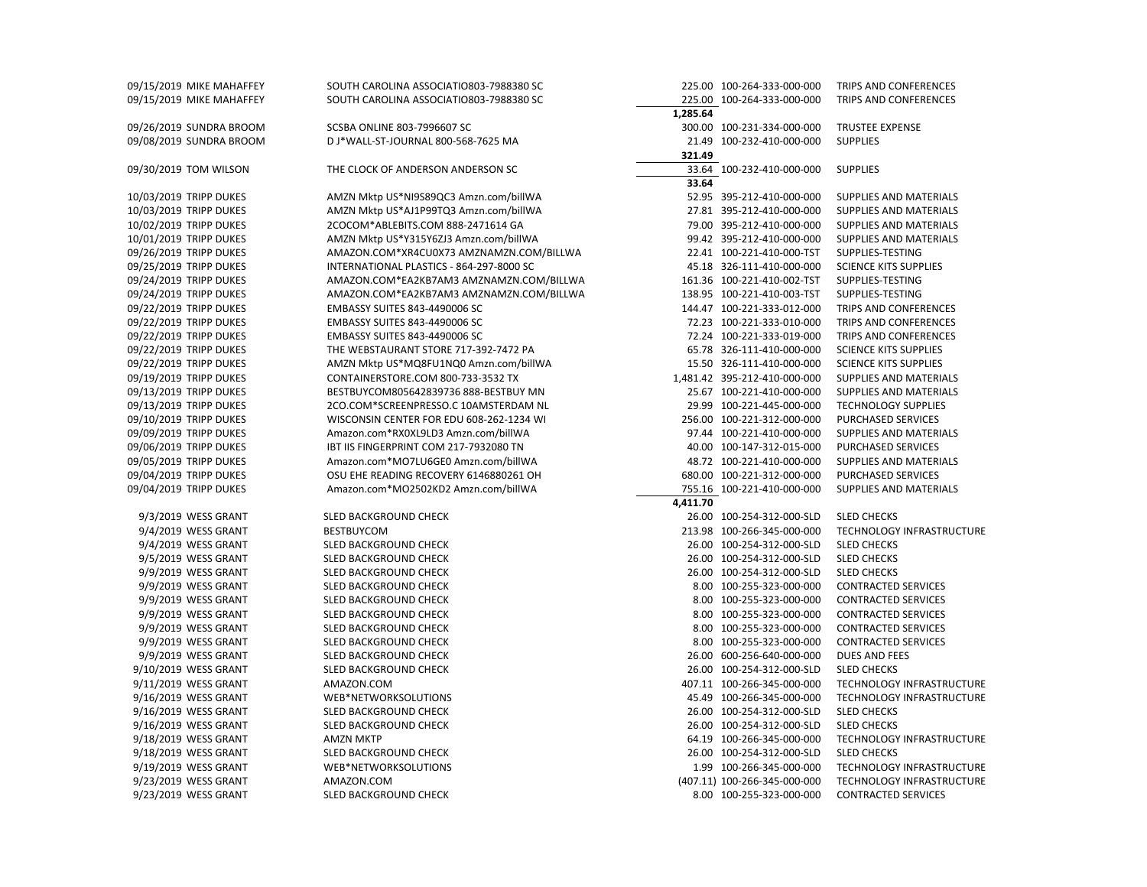| 09/15/2019 MIKE MAHAFFEY | SOUTH CAROLINA ASSOCIATIO803-7988380 SC  | 225.00 100-264-333-000-000   | TRIPS AND CONFERENCES         |
|--------------------------|------------------------------------------|------------------------------|-------------------------------|
| 09/15/2019 MIKE MAHAFFEY | SOUTH CAROLINA ASSOCIATIO803-7988380 SC  | 225.00 100-264-333-000-000   | TRIPS AND CONFERENCES         |
|                          |                                          | 1,285.64                     |                               |
| 09/26/2019 SUNDRA BROOM  | <b>SCSBA ONLINE 803-7996607 SC</b>       | 300.00 100-231-334-000-000   | <b>TRUSTEE EXPENSE</b>        |
| 09/08/2019 SUNDRA BROOM  | D J*WALL-ST-JOURNAL 800-568-7625 MA      | 21.49 100-232-410-000-000    | <b>SUPPLIES</b>               |
|                          |                                          | 321.49                       |                               |
| 09/30/2019 TOM WILSON    | THE CLOCK OF ANDERSON ANDERSON SC        | 33.64 100-232-410-000-000    | <b>SUPPLIES</b>               |
|                          |                                          | 33.64                        |                               |
| 10/03/2019 TRIPP DUKES   | AMZN Mktp US*NI9S89QC3 Amzn.com/billWA   | 52.95 395-212-410-000-000    | SUPPLIES AND MATERIALS        |
| 10/03/2019 TRIPP DUKES   | AMZN Mktp US*AJ1P99TQ3 Amzn.com/billWA   | 27.81 395-212-410-000-000    | SUPPLIES AND MATERIALS        |
| 10/02/2019 TRIPP DUKES   | 2COCOM*ABLEBITS.COM 888-2471614 GA       | 79.00 395-212-410-000-000    | SUPPLIES AND MATERIALS        |
| 10/01/2019 TRIPP DUKES   | AMZN Mktp US*Y315Y6ZJ3 Amzn.com/billWA   | 99.42 395-212-410-000-000    | SUPPLIES AND MATERIALS        |
| 09/26/2019 TRIPP DUKES   | AMAZON.COM*XR4CU0X73 AMZNAMZN.COM/BILLWA | 22.41 100-221-410-000-TST    | SUPPLIES-TESTING              |
| 09/25/2019 TRIPP DUKES   | INTERNATIONAL PLASTICS - 864-297-8000 SC | 45.18 326-111-410-000-000    | <b>SCIENCE KITS SUPPLIES</b>  |
| 09/24/2019 TRIPP DUKES   | AMAZON.COM*EA2KB7AM3 AMZNAMZN.COM/BILLWA | 161.36 100-221-410-002-TST   | SUPPLIES-TESTING              |
| 09/24/2019 TRIPP DUKES   | AMAZON.COM*EA2KB7AM3 AMZNAMZN.COM/BILLWA | 138.95 100-221-410-003-TST   | SUPPLIES-TESTING              |
| 09/22/2019 TRIPP DUKES   | EMBASSY SUITES 843-4490006 SC            | 144.47 100-221-333-012-000   | TRIPS AND CONFERENCES         |
| 09/22/2019 TRIPP DUKES   | EMBASSY SUITES 843-4490006 SC            | 72.23 100-221-333-010-000    | TRIPS AND CONFERENCES         |
| 09/22/2019 TRIPP DUKES   | <b>EMBASSY SUITES 843-4490006 SC</b>     | 72.24 100-221-333-019-000    | TRIPS AND CONFERENCES         |
| 09/22/2019 TRIPP DUKES   | THE WEBSTAURANT STORE 717-392-7472 PA    | 65.78 326-111-410-000-000    | <b>SCIENCE KITS SUPPLIES</b>  |
| 09/22/2019 TRIPP DUKES   | AMZN Mktp US*MQ8FU1NQ0 Amzn.com/billWA   | 15.50 326-111-410-000-000    | <b>SCIENCE KITS SUPPLIES</b>  |
| 09/19/2019 TRIPP DUKES   | CONTAINERSTORE.COM 800-733-3532 TX       | 1,481.42 395-212-410-000-000 | SUPPLIES AND MATERIALS        |
| 09/13/2019 TRIPP DUKES   | BESTBUYCOM805642839736 888-BESTBUY MN    | 25.67 100-221-410-000-000    | SUPPLIES AND MATERIALS        |
| 09/13/2019 TRIPP DUKES   | 2CO.COM*SCREENPRESSO.C 10AMSTERDAM NL    | 29.99 100-221-445-000-000    | <b>TECHNOLOGY SUPPLIES</b>    |
| 09/10/2019 TRIPP DUKES   | WISCONSIN CENTER FOR EDU 608-262-1234 WI | 256.00 100-221-312-000-000   | PURCHASED SERVICES            |
| 09/09/2019 TRIPP DUKES   | Amazon.com*RX0XL9LD3 Amzn.com/billWA     | 97.44 100-221-410-000-000    | SUPPLIES AND MATERIALS        |
| 09/06/2019 TRIPP DUKES   | IBT IIS FINGERPRINT COM 217-7932080 TN   | 40.00 100-147-312-015-000    | <b>PURCHASED SERVICES</b>     |
| 09/05/2019 TRIPP DUKES   | Amazon.com*MO7LU6GE0 Amzn.com/billWA     | 48.72 100-221-410-000-000    | SUPPLIES AND MATERIALS        |
| 09/04/2019 TRIPP DUKES   | OSU EHE READING RECOVERY 6146880261 OH   | 680.00 100-221-312-000-000   | <b>PURCHASED SERVICES</b>     |
| 09/04/2019 TRIPP DUKES   | Amazon.com*MO2502KD2 Amzn.com/billWA     | 755.16 100-221-410-000-000   | <b>SUPPLIES AND MATERIALS</b> |
|                          |                                          | 4,411.70                     |                               |
| 9/3/2019 WESS GRANT      | SLED BACKGROUND CHECK                    | 26.00 100-254-312-000-SLD    | <b>SLED CHECKS</b>            |
| 9/4/2019 WESS GRANT      | <b>BESTBUYCOM</b>                        | 213.98 100-266-345-000-000   | TECHNOLOGY INFRASTRUCTURE     |
| 9/4/2019 WESS GRANT      | SLED BACKGROUND CHECK                    | 26.00 100-254-312-000-SLD    | <b>SLED CHECKS</b>            |
| 9/5/2019 WESS GRANT      | SLED BACKGROUND CHECK                    | 26.00 100-254-312-000-SLD    | <b>SLED CHECKS</b>            |
| 9/9/2019 WESS GRANT      | SLED BACKGROUND CHECK                    | 26.00 100-254-312-000-SLD    | <b>SLED CHECKS</b>            |
| 9/9/2019 WESS GRANT      | SLED BACKGROUND CHECK                    | 8.00 100-255-323-000-000     | <b>CONTRACTED SERVICES</b>    |
| 9/9/2019 WESS GRANT      | SLED BACKGROUND CHECK                    | 8.00 100-255-323-000-000     | <b>CONTRACTED SERVICES</b>    |
| 9/9/2019 WESS GRANT      | SLED BACKGROUND CHECK                    | 8.00 100-255-323-000-000     | <b>CONTRACTED SERVICES</b>    |
| 9/9/2019 WESS GRANT      | SLED BACKGROUND CHECK                    | 8.00 100-255-323-000-000     | <b>CONTRACTED SERVICES</b>    |
| 9/9/2019 WESS GRANT      | SLED BACKGROUND CHECK                    | 8.00 100-255-323-000-000     | <b>CONTRACTED SERVICES</b>    |
| 9/9/2019 WESS GRANT      | SLED BACKGROUND CHECK                    | 26.00 600-256-640-000-000    | <b>DUES AND FEES</b>          |
| 9/10/2019 WESS GRANT     | SLED BACKGROUND CHECK                    | 26.00 100-254-312-000-SLD    | <b>SLED CHECKS</b>            |
| 9/11/2019 WESS GRANT     | AMAZON.COM                               | 407.11 100-266-345-000-000   | TECHNOLOGY INFRASTRUCTURE     |
| 9/16/2019 WESS GRANT     | WEB*NETWORKSOLUTIONS                     | 45.49 100-266-345-000-000    | TECHNOLOGY INFRASTRUCTURE     |
| 9/16/2019 WESS GRANT     | SLED BACKGROUND CHECK                    | 26.00 100-254-312-000-SLD    | <b>SLED CHECKS</b>            |
| 9/16/2019 WESS GRANT     | SLED BACKGROUND CHECK                    | 26.00 100-254-312-000-SLD    | <b>SLED CHECKS</b>            |
| 9/18/2019 WESS GRANT     | <b>AMZN MKTP</b>                         | 64.19 100-266-345-000-000    | TECHNOLOGY INFRASTRUCTURE     |
| 9/18/2019 WESS GRANT     | SLED BACKGROUND CHECK                    | 26.00 100-254-312-000-SLD    | <b>SLED CHECKS</b>            |
| 9/19/2019 WESS GRANT     | WEB*NETWORKSOLUTIONS                     | 1.99 100-266-345-000-000     | TECHNOLOGY INFRASTRUCTURE     |
| 9/23/2019 WESS GRANT     | AMAZON.COM                               | (407.11) 100-266-345-000-000 | TECHNOLOGY INFRASTRUCTURE     |
| 9/23/2019 WESS GRANT     | SLED BACKGROUND CHECK                    | 8.00 100-255-323-000-000     | <b>CONTRACTED SERVICES</b>    |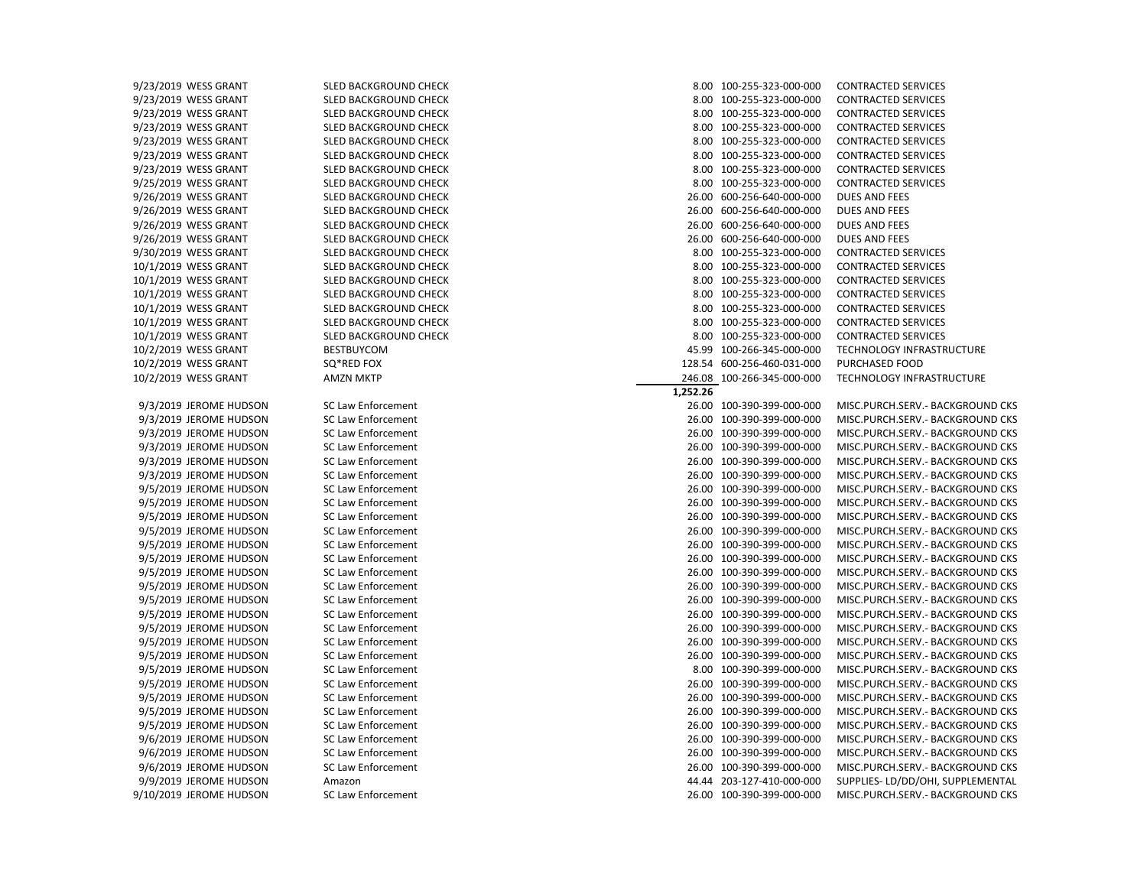| 9/23/2019 WESS GRANT    | SLED BACKGROUND CHECK     |          | 8.00 100-255-323-000-000   | <b>CONTRACTED SERVICES</b>        |
|-------------------------|---------------------------|----------|----------------------------|-----------------------------------|
| 9/23/2019 WESS GRANT    | SLED BACKGROUND CHECK     |          | 8.00 100-255-323-000-000   | <b>CONTRACTED SERVICES</b>        |
| 9/23/2019 WESS GRANT    | SLED BACKGROUND CHECK     |          | 8.00 100-255-323-000-000   | <b>CONTRACTED SERVICES</b>        |
| 9/23/2019 WESS GRANT    | SLED BACKGROUND CHECK     |          | 8.00 100-255-323-000-000   | <b>CONTRACTED SERVICES</b>        |
| 9/23/2019 WESS GRANT    | SLED BACKGROUND CHECK     |          | 8.00 100-255-323-000-000   | <b>CONTRACTED SERVICES</b>        |
| 9/23/2019 WESS GRANT    | SLED BACKGROUND CHECK     |          | 8.00 100-255-323-000-000   | <b>CONTRACTED SERVICES</b>        |
| 9/23/2019 WESS GRANT    | SLED BACKGROUND CHECK     |          | 8.00 100-255-323-000-000   | <b>CONTRACTED SERVICES</b>        |
| 9/25/2019 WESS GRANT    | SLED BACKGROUND CHECK     |          | 8.00 100-255-323-000-000   | <b>CONTRACTED SERVICES</b>        |
| 9/26/2019 WESS GRANT    | SLED BACKGROUND CHECK     |          | 26.00 600-256-640-000-000  | <b>DUES AND FEES</b>              |
| 9/26/2019 WESS GRANT    | SLED BACKGROUND CHECK     |          | 26.00 600-256-640-000-000  | <b>DUES AND FEES</b>              |
| 9/26/2019 WESS GRANT    | SLED BACKGROUND CHECK     |          | 26.00 600-256-640-000-000  | DUES AND FEES                     |
| 9/26/2019 WESS GRANT    | SLED BACKGROUND CHECK     |          | 26.00 600-256-640-000-000  | <b>DUES AND FEES</b>              |
| 9/30/2019 WESS GRANT    | SLED BACKGROUND CHECK     |          | 8.00 100-255-323-000-000   | <b>CONTRACTED SERVICES</b>        |
| 10/1/2019 WESS GRANT    | SLED BACKGROUND CHECK     |          | 8.00 100-255-323-000-000   | <b>CONTRACTED SERVICES</b>        |
| 10/1/2019 WESS GRANT    | SLED BACKGROUND CHECK     |          | 8.00 100-255-323-000-000   | <b>CONTRACTED SERVICES</b>        |
| 10/1/2019 WESS GRANT    | SLED BACKGROUND CHECK     |          | 8.00 100-255-323-000-000   | <b>CONTRACTED SERVICES</b>        |
| 10/1/2019 WESS GRANT    | SLED BACKGROUND CHECK     |          | 8.00 100-255-323-000-000   | <b>CONTRACTED SERVICES</b>        |
| 10/1/2019 WESS GRANT    | SLED BACKGROUND CHECK     |          | 8.00 100-255-323-000-000   | <b>CONTRACTED SERVICES</b>        |
| 10/1/2019 WESS GRANT    | SLED BACKGROUND CHECK     |          | 8.00 100-255-323-000-000   | <b>CONTRACTED SERVICES</b>        |
| 10/2/2019 WESS GRANT    | <b>BESTBUYCOM</b>         |          | 45.99 100-266-345-000-000  | TECHNOLOGY INFRASTRUCTURE         |
| 10/2/2019 WESS GRANT    | SQ*RED FOX                |          | 128.54 600-256-460-031-000 | PURCHASED FOOD                    |
| 10/2/2019 WESS GRANT    | <b>AMZN MKTP</b>          |          | 246.08 100-266-345-000-000 | TECHNOLOGY INFRASTRUCTURE         |
|                         |                           | 1.252.26 |                            |                                   |
| 9/3/2019 JEROME HUDSON  | <b>SC Law Enforcement</b> |          | 26.00 100-390-399-000-000  | MISC.PURCH.SERV.- BACKGROUND CKS  |
| 9/3/2019 JEROME HUDSON  | SC Law Enforcement        |          | 26.00 100-390-399-000-000  | MISC.PURCH.SERV.- BACKGROUND CKS  |
| 9/3/2019 JEROME HUDSON  | <b>SC Law Enforcement</b> |          | 26.00 100-390-399-000-000  | MISC.PURCH.SERV.- BACKGROUND CKS  |
| 9/3/2019 JEROME HUDSON  | <b>SC Law Enforcement</b> |          | 26.00 100-390-399-000-000  | MISC.PURCH.SERV.- BACKGROUND CKS  |
| 9/3/2019 JEROME HUDSON  | <b>SC Law Enforcement</b> |          | 26.00 100-390-399-000-000  | MISC.PURCH.SERV.- BACKGROUND CKS  |
| 9/3/2019 JEROME HUDSON  | <b>SC Law Enforcement</b> |          | 26.00 100-390-399-000-000  | MISC.PURCH.SERV.- BACKGROUND CKS  |
| 9/5/2019 JEROME HUDSON  | <b>SC Law Enforcement</b> |          | 26.00 100-390-399-000-000  | MISC.PURCH.SERV. - BACKGROUND CKS |
| 9/5/2019 JEROME HUDSON  | SC Law Enforcement        |          | 26.00 100-390-399-000-000  | MISC.PURCH.SERV.- BACKGROUND CKS  |
| 9/5/2019 JEROME HUDSON  | <b>SC Law Enforcement</b> |          | 26.00 100-390-399-000-000  | MISC.PURCH.SERV.- BACKGROUND CKS  |
| 9/5/2019 JEROME HUDSON  | SC Law Enforcement        |          | 26.00 100-390-399-000-000  | MISC.PURCH.SERV.- BACKGROUND CKS  |
| 9/5/2019 JEROME HUDSON  | <b>SC Law Enforcement</b> |          | 26.00 100-390-399-000-000  | MISC.PURCH.SERV.- BACKGROUND CKS  |
| 9/5/2019 JEROME HUDSON  | SC Law Enforcement        |          | 26.00 100-390-399-000-000  | MISC.PURCH.SERV.- BACKGROUND CKS  |
| 9/5/2019 JEROME HUDSON  | <b>SC Law Enforcement</b> |          | 26.00 100-390-399-000-000  | MISC.PURCH.SERV.- BACKGROUND CKS  |
| 9/5/2019 JEROME HUDSON  | <b>SC Law Enforcement</b> |          | 26.00 100-390-399-000-000  | MISC.PURCH.SERV.- BACKGROUND CKS  |
| 9/5/2019 JEROME HUDSON  | <b>SC Law Enforcement</b> |          | 26.00 100-390-399-000-000  | MISC.PURCH.SERV.- BACKGROUND CKS  |
| 9/5/2019 JEROME HUDSON  | SC Law Enforcement        |          | 26.00 100-390-399-000-000  | MISC.PURCH.SERV.- BACKGROUND CKS  |
| 9/5/2019 JEROME HUDSON  | SC Law Enforcement        |          | 26.00 100-390-399-000-000  | MISC.PURCH.SERV. - BACKGROUND CKS |
| 9/5/2019 JEROME HUDSON  | SC Law Enforcement        |          | 26.00 100-390-399-000-000  | MISC.PURCH.SERV.- BACKGROUND CKS  |
| 9/5/2019 JEROME HUDSON  | <b>SC Law Enforcement</b> |          | 26.00 100-390-399-000-000  | MISC.PURCH.SERV.- BACKGROUND CKS  |
| 9/5/2019 JEROME HUDSON  | SC Law Enforcement        |          | 8.00 100-390-399-000-000   | MISC.PURCH.SERV. - BACKGROUND CKS |
| 9/5/2019 JEROME HUDSON  | <b>SC Law Enforcement</b> |          | 26.00 100-390-399-000-000  | MISC.PURCH.SERV.- BACKGROUND CKS  |
| 9/5/2019 JEROME HUDSON  | SC Law Enforcement        |          | 26.00 100-390-399-000-000  | MISC.PURCH.SERV. - BACKGROUND CKS |
| 9/5/2019 JEROME HUDSON  | <b>SC Law Enforcement</b> |          | 26.00 100-390-399-000-000  | MISC.PURCH.SERV.- BACKGROUND CKS  |
| 9/5/2019 JEROME HUDSON  | SC Law Enforcement        |          | 26.00 100-390-399-000-000  | MISC.PURCH.SERV.- BACKGROUND CKS  |
| 9/6/2019 JEROME HUDSON  | SC Law Enforcement        |          | 26.00 100-390-399-000-000  | MISC.PURCH.SERV. - BACKGROUND CKS |
| 9/6/2019 JEROME HUDSON  | SC Law Enforcement        |          | 26.00 100-390-399-000-000  | MISC.PURCH.SERV.- BACKGROUND CKS  |
| 9/6/2019 JEROME HUDSON  | <b>SC Law Enforcement</b> |          | 26.00 100-390-399-000-000  | MISC.PURCH.SERV.- BACKGROUND CKS  |
| 9/9/2019 JEROME HUDSON  | Amazon                    |          | 44.44 203-127-410-000-000  | SUPPLIES- LD/DD/OHI, SUPPLEMENTAL |
| 9/10/2019 JEROME HUDSON | <b>SC Law Enforcement</b> |          | 26.00 100-390-399-000-000  | MISC.PURCH.SERV.- BACKGROUND CKS  |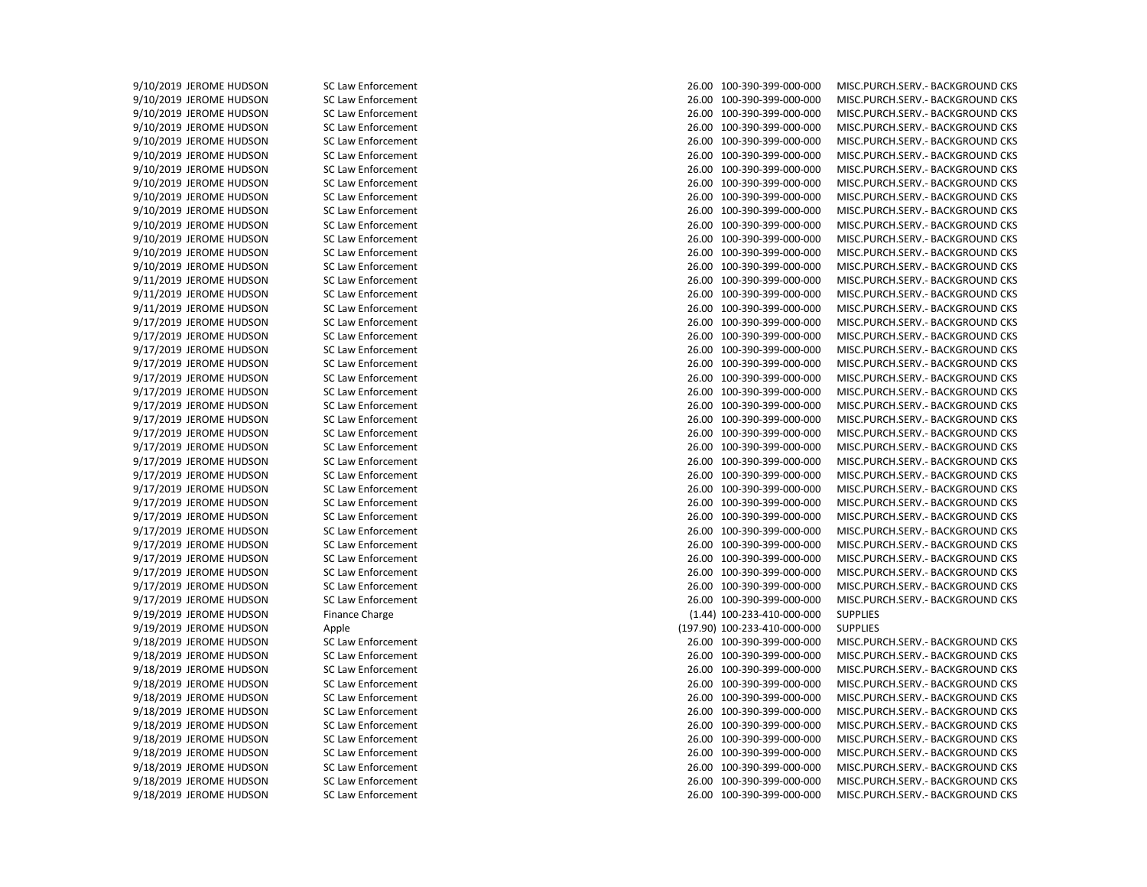9/10/2019 JEROME HUDSON SC Law Enforcement 26.00 100-390-399-000-000 MISC.PURCH.SERV.- BACKGROUND CKS 9/10/2019 JEROME HUDSON SC Law Enforcement 26.00 100-390-399-000-000 MISC.PURCH.SERV.- BACKGROUND CKS 9/10/2019 JEROME HUDSON SC Law Enforcement 26.00 100-390-399-000-000 MISC.PURCH.SERV.- BACKGROUND CKS 9/10/2019 JEROME HUDSON SC Law Enforcement 26.00 100-390-399-000-000 MISC.PURCH.SERV.- BACKGROUND CKS 9/10/2019 JEROME HUDSON SC Law Enforcement 26.00 100-390-399-000-000 MISC.PURCH.SERV.- BACKGROUND CKS 9/10/2019 JEROME HUDSON SC Law Enforcement 26.00 100-390-399-000-000 MISC.PURCH.SERV.- BACKGROUND CKS 9/10/2019 JEROME HUDSON SC Law Enforcement 26.00 100-390-399-000-000 MISC.PURCH.SERV.- BACKGROUND CKS 9/10/2019 JEROME HUDSON SC Law Enforcement 26.00 100-390-399-000-000 MISC.PURCH.SERV.- BACKGROUND CKS 9/10/2019 JEROME HUDSON SC Law Enforcement 26.00 100-390-399-000-000 MISC.PURCH.SERV.- BACKGROUND CKS 9/10/2019 JEROME HUDSON SC Law Enforcement 26.00 100-390-399-000-000 MISC.PURCH.SERV.- BACKGROUND CKS 9/10/2019 JEROME HUDSON SC Law Enforcement 26.00 100-390-399-000-000 MISC.PURCH.SERV.- BACKGROUND CKS 9/10/2019 JEROME HUDSON SC Law Enforcement 26.00 100-390-399-000-000 MISC.PURCH.SERV.- BACKGROUND CKS 9/10/2019 JEROME HUDSON SC Law Enforcement 26.00 100-390-399-000-000 MISC.PURCH.SERV.- BACKGROUND CKS 9/10/2019 JEROME HUDSON SC Law Enforcement 26.00 100-390-399-000-000 MISC.PURCH.SERV.- BACKGROUND CKS 9/11/2019 JEROME HUDSON SC Law Enforcement 26.00 100-390-399-000-000 MISC.PURCH.SERV.- BACKGROUND CKS 9/11/2019 JEROME HUDSON SC Law Enforcement 26.00 100-390-399-000-000 MISC.PURCH.SERV.- BACKGROUND CKS 9/11/2019 JEROME HUDSON SC Law Enforcement 26.00 100-390-399-000-000 MISC.PURCH.SERV.- BACKGROUND CKS 9/17/2019 JEROME HUDSON SC Law Enforcement 26.00 100-390-399-000-000 MISC.PURCH.SERV.- BACKGROUND CKS 9/17/2019 JEROME HUDSON SC Law Enforcement 26.00 100-390-399-000-000 MISC.PURCH.SERV.- BACKGROUND CKS 9/17/2019 JEROME HUDSON SC Law Enforcement 26.00 100-390-399-000-000 MISC.PURCH.SERV.- BACKGROUND CKS 9/17/2019 JEROME HUDSON SC Law Enforcement 26.00 100-390-399-000-000 MISC.PURCH.SERV.- BACKGROUND CKS 9/17/2019 JEROME HUDSON SC Law Enforcement 26.00 100-390-399-000-000 MISC.PURCH.SERV.- BACKGROUND CKS 9/17/2019 JEROME HUDSON SC Law Enforcement 26.00 100-390-399-000-000 MISC.PURCH.SERV.- BACKGROUND CKS 9/17/2019 JEROME HUDSON SC Law Enforcement 26.00 100-390-399-000-000 MISC.PURCH.SERV.- BACKGROUND CKS 9/17/2019 JEROME HUDSON SC Law Enforcement 26.00 100-390-399-000-000 MISC.PURCH.SERV.- BACKGROUND CKS 9/17/2019 JEROME HUDSON SC Law Enforcement 26.00 100-390-399-000-000 MISC.PURCH.SERV.- BACKGROUND CKS 9/17/2019 JEROME HUDSON SC Law Enforcement 26.00 100-390-399-000-000 MISC.PURCH.SERV.- BACKGROUND CKS 9/17/2019 JEROME HUDSON SC Law Enforcement 26.00 100-390-399-000-000 MISC.PURCH.SERV.- BACKGROUND CKS 9/17/2019 JEROME HUDSON SC Law Enforcement 26.00 100-390-399-000-000 MISC.PURCH.SERV.- BACKGROUND CKS 9/17/2019 JEROME HUDSON SC Law Enforcement 26.00 100-390-399-000-000 MISC.PURCH.SERV.- BACKGROUND CKS 9/17/2019 JEROME HUDSON SC Law Enforcement 26.00 100-390-399-000-000 MISC.PURCH.SERV.- BACKGROUND CKS 9/17/2019 JEROME HUDSON SC Law Enforcement 26.00 100-390-399-000-000 MISC.PURCH.SERV.- BACKGROUND CKS 9/17/2019 JEROME HUDSON SC Law Enforcement 26.00 100-390-399-000-000 MISC.PURCH.SERV.- BACKGROUND CKS 9/17/2019 JEROME HUDSON SC Law Enforcement 26.00 100-390-399-000-000 MISC.PURCH.SERV.- BACKGROUND CKS 9/17/2019 JEROME HUDSON SC Law Enforcement 26.00 100-390-399-000-000 MISC.PURCH.SERV.- BACKGROUND CKS 9/17/2019 JEROME HUDSON SC Law Enforcement 26.00 100-390-399-000-000 MISC.PURCH.SERV.- BACKGROUND CKS 9/17/2019 JEROME HUDSON SC Law Enforcement 26.00 100-390-399-000-000 MISC.PURCH.SERV.- BACKGROUND CKS 9/17/2019 JEROME HUDSON SC Law Enforcement 26.00 100-390-399-000-000 MISC.PURCH.SERV.- BACKGROUND CKS 9/19/2019 JEROME HUDSON Finance Charge (1.44) 100-233-410-000-000 SUPPLIES 9/19/2019 JEROME HUDSON Apple (197.90) 100-233-410-000-000 SUPPLIES 9/18/2019 JEROME HUDSON SC Law Enforcement 26.00 100-390-399-000-000 MISC.PURCH.SERV.- BACKGROUND CKS 9/18/2019 JEROME HUDSON SC Law Enforcement 26.00 100-390-399-000-000 MISC.PURCH.SERV.- BACKGROUND CKS 9/18/2019 JEROME HUDSON SC Law Enforcement 26.00 100-390-399-000-000 MISC.PURCH.SERV.- BACKGROUND CKS 9/18/2019 JEROME HUDSON SC Law Enforcement 26.00 100-390-399-000-000 MISC.PURCH.SERV.- BACKGROUND CKS 9/18/2019 JEROME HUDSON SC Law Enforcement 26.00 100-390-399-000-000 MISC.PURCH.SERV.- BACKGROUND CKS 9/18/2019 JEROME HUDSON SC Law Enforcement 26.00 100-390-399-000-000 MISC.PURCH.SERV.- BACKGROUND CKS 9/18/2019 JEROME HUDSON SC Law Enforcement 26.00 100-390-399-000-000 MISC.PURCH.SERV.- BACKGROUND CKS 9/18/2019 JEROME HUDSON SC Law Enforcement 26.00 100-390-399-000-000 MISC.PURCH.SERV.- BACKGROUND CKS 9/18/2019 JEROME HUDSON SC Law Enforcement 26.00 100-390-399-000-000 MISC.PURCH.SERV.- BACKGROUND CKS 9/18/2019 JEROME HUDSON SC Law Enforcement 26.00 100-390-399-000-000 MISC.PURCH.SERV.- BACKGROUND CKS 9/18/2019 JEROME HUDSON SC Law Enforcement 26.00 100-390-399-000-000 MISC.PURCH.SERV.- BACKGROUND CKS 9/18/2019 JEROME HUDSON SC Law Enforcement 26.00 100-390-399-000-000 MISC.PURCH.SERV.- BACKGROUND CKS